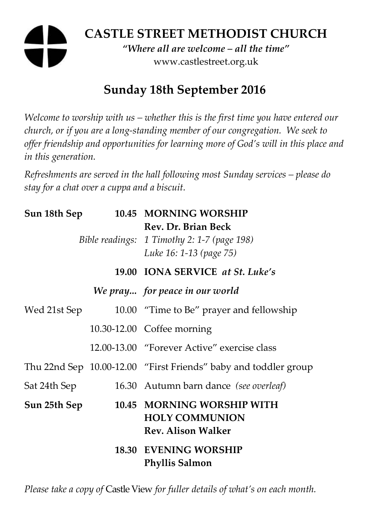# **CASTLE STREET METHODIST CHURCH**

*"Where all are welcome – all the time"*  www.castlestreet.org.uk

# **Sunday 18th September 2016**

*Welcome to worship with us – whether this is the first time you have entered our church, or if you are a long-standing member of our congregation. We seek to offer friendship and opportunities for learning more of God's will in this place and in this generation.* 

*Refreshments are served in the hall following most Sunday services – please do stay for a chat over a cuppa and a biscuit.* 

|              |  | Sun 18th Sep 10.45 MORNING WORSHIP                                                            |
|--------------|--|-----------------------------------------------------------------------------------------------|
|              |  | Rev. Dr. Brian Beck<br>Bible readings: 1 Timothy 2: 1-7 (page 198)<br>Luke 16: 1-13 (page 75) |
|              |  | 19.00 IONA SERVICE at St. Luke's                                                              |
|              |  | We pray for peace in our world                                                                |
| Wed 21st Sep |  | 10.00 "Time to Be" prayer and fellowship                                                      |
|              |  | 10.30-12.00 Coffee morning                                                                    |
|              |  | 12.00-13.00 "Forever Active" exercise class                                                   |
|              |  | Thu 22nd Sep 10.00-12.00 "First Friends" baby and toddler group                               |
| Sat 24th Sep |  | 16.30 Autumn barn dance (see overleaf)                                                        |
| Sun 25th Sep |  | 10.45 MORNING WORSHIP WITH<br><b>HOLY COMMUNION</b><br><b>Rev. Alison Walker</b>              |
|              |  | <b>18.30 EVENING WORSHIP</b><br><b>Phyllis Salmon</b>                                         |

*Please take a copy of* Castle View *for fuller details of what's on each month.*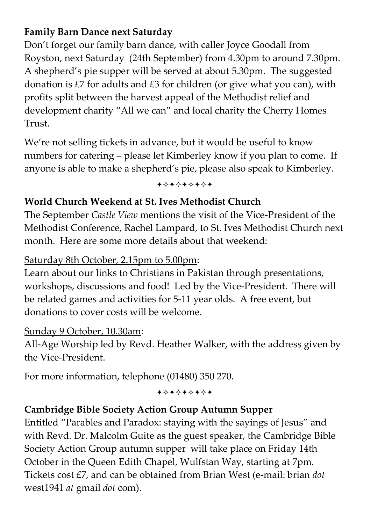# **Family Barn Dance next Saturday**

Don't forget our family barn dance, with caller Joyce Goodall from Royston, next Saturday (24th September) from 4.30pm to around 7.30pm. A shepherd's pie supper will be served at about 5.30pm. The suggested donation is £7 for adults and £3 for children (or give what you can), with profits split between the harvest appeal of the Methodist relief and development charity "All we can" and local charity the Cherry Homes Trust.

We're not selling tickets in advance, but it would be useful to know numbers for catering – please let Kimberley know if you plan to come. If anyone is able to make a shepherd's pie, please also speak to Kimberley.

+\*+\*\*\*\*+

# **World Church Weekend at St. Ives Methodist Church**

The September *Castle View* mentions the visit of the Vice-President of the Methodist Conference, Rachel Lampard, to St. Ives Methodist Church next month. Here are some more details about that weekend:

Saturday 8th October, 2.15pm to 5.00pm:

Learn about our links to Christians in Pakistan through presentations, workshops, discussions and food! Led by the Vice-President. There will be related games and activities for 5-11 year olds. A free event, but donations to cover costs will be welcome.

#### Sunday 9 October, 10.30am:

All-Age Worship led by Revd. Heather Walker, with the address given by the Vice-President.

For more information, telephone (01480) 350 270.

+\*+\*\*\*\*\*

# **Cambridge Bible Society Action Group Autumn Supper**

Entitled "Parables and Paradox: staying with the sayings of Jesus" and with Revd. Dr. Malcolm Guite as the guest speaker, the Cambridge Bible Society Action Group autumn supper will take place on Friday 14th October in the Queen Edith Chapel, Wulfstan Way, starting at 7pm. Tickets cost £7, and can be obtained from Brian West (e-mail: brian *dot*  west1941 *at* gmail *dot* com).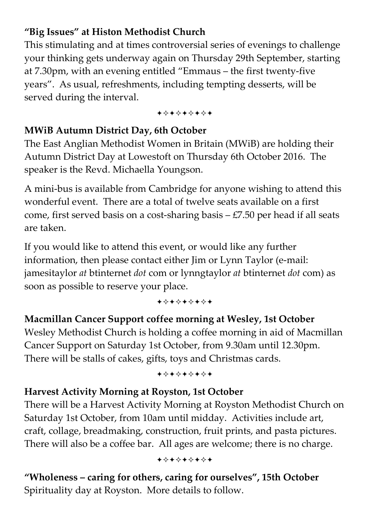# **"Big Issues" at Histon Methodist Church**

This stimulating and at times controversial series of evenings to challenge your thinking gets underway again on Thursday 29th September, starting at 7.30pm, with an evening entitled "Emmaus – the first twenty-five years". As usual, refreshments, including tempting desserts, will be served during the interval.

+\*\*\*\*\*\*\*

### **MWiB Autumn District Day, 6th October**

The East Anglian Methodist Women in Britain (MWiB) are holding their Autumn District Day at Lowestoft on Thursday 6th October 2016. The speaker is the Revd. Michaella Youngson.

A mini-bus is available from Cambridge for anyone wishing to attend this wonderful event. There are a total of twelve seats available on a first come, first served basis on a cost-sharing basis  $-£7.50$  per head if all seats are taken.

If you would like to attend this event, or would like any further information, then please contact either Jim or Lynn Taylor (e-mail: jamesitaylor *at* btinternet *dot* com or lynngtaylor *at* btinternet *dot* com) as soon as possible to reserve your place.

+\*\*\*\*\*\*\*

# **Macmillan Cancer Support coffee morning at Wesley, 1st October**  Wesley Methodist Church is holding a coffee morning in aid of Macmillan Cancer Support on Saturday 1st October, from 9.30am until 12.30pm. There will be stalls of cakes, gifts, toys and Christmas cards.

+\*\*\*\*\*\*\*

# **Harvest Activity Morning at Royston, 1st October**

There will be a Harvest Activity Morning at Royston Methodist Church on Saturday 1st October, from 10am until midday. Activities include art, craft, collage, breadmaking, construction, fruit prints, and pasta pictures. There will also be a coffee bar. All ages are welcome; there is no charge.

+\*\*\*\*\*\*\*

**"Wholeness – caring for others, caring for ourselves", 15th October**  Spirituality day at Royston. More details to follow.